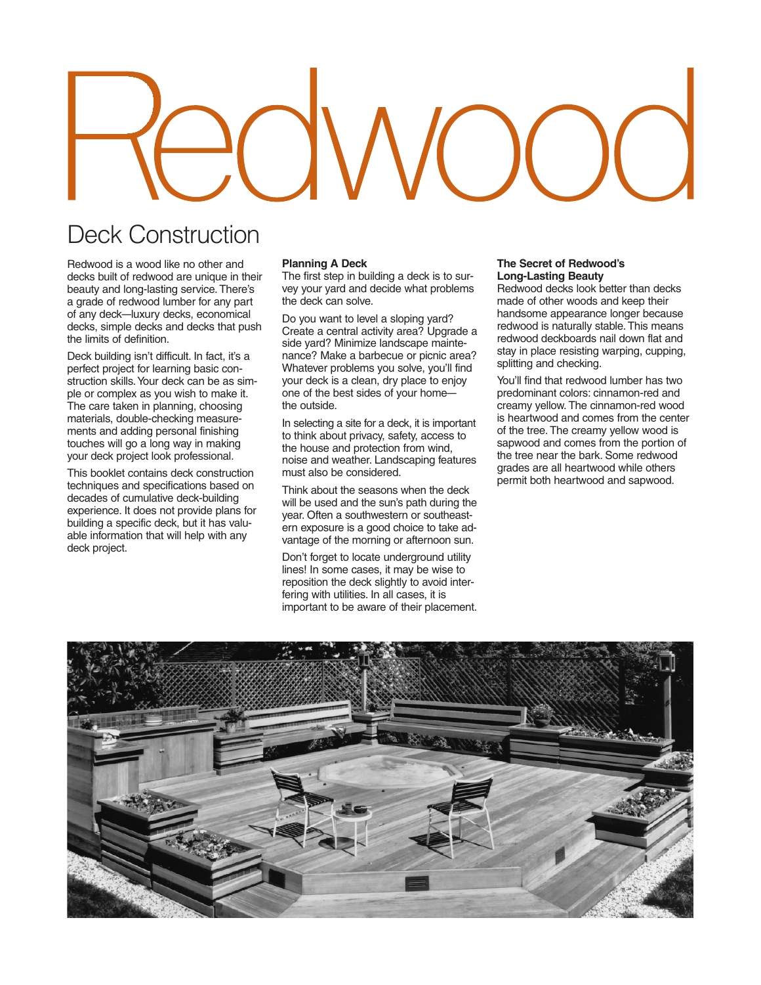# Deck Construction

Redwood is a wood like no other and decks built of redwood are unique in their beauty and long-lasting service. There's a grade of redwood lumber for any part of any deck—luxury decks, economical decks, simple decks and decks that push the limits of definition.

Deck building isn't difficult. In fact, it's a perfect project for learning basic construction skills.Your deck can be as simple or complex as you wish to make it. The care taken in planning, choosing materials, double-checking measurements and adding personal finishing touches will go a long way in making your deck project look professional.

This booklet contains deck construction techniques and specifications based on decades of cumulative deck-building experience. It does not provide plans for building a specific deck, but it has valuable information that will help with any deck project.

# **Planning A Deck**

The first step in building a deck is to survey your yard and decide what problems the deck can solve.

Do you want to level a sloping yard? Create a central activity area? Upgrade a side yard? Minimize landscape maintenance? Make a barbecue or picnic area? Whatever problems you solve, you'll find your deck is a clean, dry place to enjoy one of the best sides of your home the outside.

In selecting a site for a deck, it is important to think about privacy, safety, access to the house and protection from wind, noise and weather. Landscaping features must also be considered.

Think about the seasons when the deck will be used and the sun's path during the year. Often a southwestern or southeastern exposure is a good choice to take advantage of the morning or afternoon sun.

Don't forget to locate underground utility lines! In some cases, it may be wise to reposition the deck slightly to avoid interfering with utilities. In all cases, it is important to be aware of their placement.

#### **The Secret of Redwood's Long-Lasting Beauty**

Redwood decks look better than decks made of other woods and keep their handsome appearance longer because redwood is naturally stable. This means redwood deckboards nail down flat and stay in place resisting warping, cupping, splitting and checking.

You'll find that redwood lumber has two predominant colors: cinnamon-red and creamy yellow. The cinnamon-red wood is heartwood and comes from the center of the tree. The creamy yellow wood is sapwood and comes from the portion of the tree near the bark. Some redwood grades are all heartwood while others permit both heartwood and sapwood.

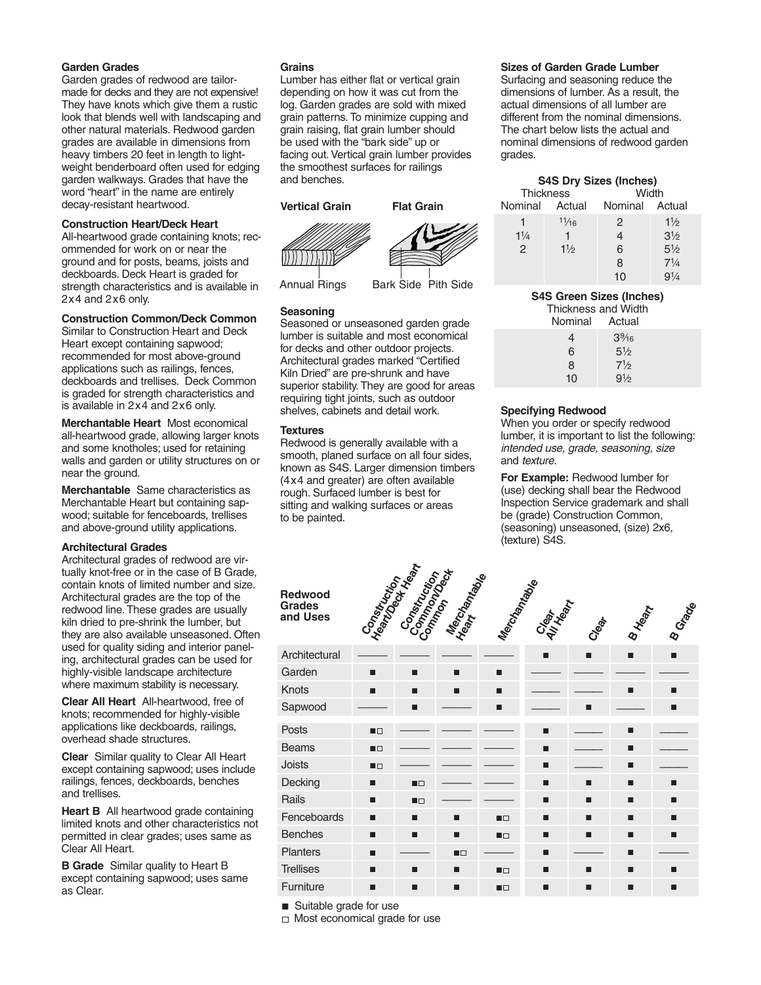# **Garden Grades**

Garden grades of redwood are tailormade for decks and they are not expensive! They have knots which give them a rustic look that blends well with landscaping and other natural materials. Redwood garden grades are available in dimensions from heavy timbers 20 feet in length to lightweight benderboard often used for edging garden walkways. Grades that have the word "heart" in the name are entirely decay-resistant heartwood.

# **Construction Heart/Deck Heart**

All-heartwood grade containing knots; recommended for work on or near the ground and for posts, beams, joists and deckboards. Deck Heart is graded for strength characteristics and is available in 2x4 and 2x6 only.

# **Construction Common/Deck Common**

Similar to Construction Heart and Deck Heart except containing sapwood; recommended for most above-ground applications such as railings, fences, deckboards and trellises. Deck Common is graded for strength characteristics and is available in 2x4 and 2x6 only.

**Merchantable Heart** Most economical all-heartwood grade, allowing larger knots and some knotholes; used for retaining walls and garden or utility structures on or near the ground.

**Merchantable** Same characteristics as Merchantable Heart but containing sapwood; suitable for fenceboards, trellises and above-ground utility applications.

# **Architectural Grades**

Architectural grades of redwood are virtually knot-free or in the case of B Grade, contain knots of limited number and size. Architectural grades are the top of the redwood line. These grades are usually kiln dried to pre-shrink the lumber, but they are also available unseasoned. Often used for quality siding and interior paneling, architectural grades can be used for highly-visible landscape architecture where maximum stability is necessary.

**Clear All Heart** All-heartwood, free of knots; recommended for highly-visible applications like deckboards, railings, overhead shade structures.

**Clear** Similar quality to Clear All Heart except containing sapwood; uses include railings, fences, deckboards, benches and trellises.

**Heart B** All heartwood grade containing limited knots and other characteristics not permitted in clear grades; uses same as Clear All Heart.

**B Grade** Similar quality to Heart B except containing sapwood; uses same as Clear.

# **Grains**

Lumber has either flat or vertical grain depending on how it was cut from the log. Garden grades are sold with mixed grain patterns. To minimize cupping and grain raising, flat grain lumber should be used with the "bark side" up or facing out. Vertical grain lumber provides the smoothest surfaces for railings and benches.





 $|111111|$ 

Annual Rings Bark Side Pith Side

# **Seasoning**

Seasoned or unseasoned garden grade lumber is suitable and most economical for decks and other outdoor projects. Architectural grades marked "Certified Kiln Dried" are pre-shrunk and have superior stability. They are good for areas requiring tight joints, such as outdoor shelves, cabinets and detail work.

# **Textures**

Redwood is generally available with a smooth, planed surface on all four sides, known as S4S. Larger dimension timbers (4x4 and greater) are often available rough. Surfaced lumber is best for sitting and walking surfaces or areas to be painted.

# **Sizes of Garden Grade Lumber**

Surfacing and seasoning reduce the dimensions of lumber. As a result, the actual dimensions of all lumber are different from the nominal dimensions. The chart below lists the actual and nominal dimensions of redwood garden grades.

| <b>S4S Dry Sizes (Inches)</b><br><b>Thickness</b><br>Width |  |  |  |  |  |
|------------------------------------------------------------|--|--|--|--|--|
| Nominal Actual                                             |  |  |  |  |  |
| 11/2                                                       |  |  |  |  |  |
| 3 <sup>1</sup>                                             |  |  |  |  |  |
| $5\frac{1}{2}$                                             |  |  |  |  |  |
| $7^{1/4}$                                                  |  |  |  |  |  |
| $9^{1/4}$                                                  |  |  |  |  |  |
|                                                            |  |  |  |  |  |

# **S4S Green Sizes (Inches)**

Thickness and Width

| Actual         |  |
|----------------|--|
| $3\%6$         |  |
| $5\frac{1}{2}$ |  |
| 71/2           |  |
| $9\frac{1}{2}$ |  |
|                |  |

# **Specifying Redwood**

When you order or specify redwood lumber, it is important to list the following: *intended use, grade, seasoning, size*  and *texture*.

**For Example:** Redwood lumber for (use) decking shall bear the Redwood Inspection Service grademark and shall be (grade) Construction Common, (seasoning) unseasoned, (size) 2x6, (texture) S4S.

| <b>Redwood</b><br><b>Grades</b><br>and Uses | <b>Fonsytrum</b><br>Meantwriting | Construction<br>Common | Mecrolanta | Macdamiable    | Clear<br>All Kear | Creat | <b>B Heart</b> | <b>B</b> Grade |
|---------------------------------------------|----------------------------------|------------------------|------------|----------------|-------------------|-------|----------------|----------------|
| Architectural                               |                                  |                        |            |                | п                 | ■     | п              | п              |
| Garden                                      | П                                | п                      | п          | п              |                   |       |                |                |
| Knots                                       | п                                | п                      | п          | п              |                   |       | П              | п              |
| Sapwood                                     |                                  | п                      |            | п              |                   | п     |                | П              |
| Posts                                       | $\blacksquare$                   |                        |            |                | п                 |       | п              |                |
| <b>Beams</b>                                | $\blacksquare$                   |                        |            |                | п                 |       | п              |                |
| Joists                                      | $\blacksquare$                   |                        |            |                | п                 |       | п              |                |
| Decking                                     | ■                                | ПO                     |            |                | П                 | П     | П              | П              |
| Rails                                       | п                                | $\blacksquare$         |            |                | п                 | п     | п              | ■              |
| Fenceboards                                 | П                                | п                      | п          | $\blacksquare$ | п                 | ■     | п              | ■              |
| <b>Benches</b>                              | П                                | п                      | п          | $\blacksquare$ | п                 | п     | п              | п              |
| <b>Planters</b>                             | п                                |                        | ПO         |                | П                 |       | п              |                |
| <b>Trellises</b>                            | П                                | п                      | п          | $\blacksquare$ | п                 | П     | п              | П              |
| Furniture                                   | П                                | п                      | п          | $\blacksquare$ | п                 | П     | п              | п              |

■ Suitable grade for use

 $\Box$  Most economical grade for use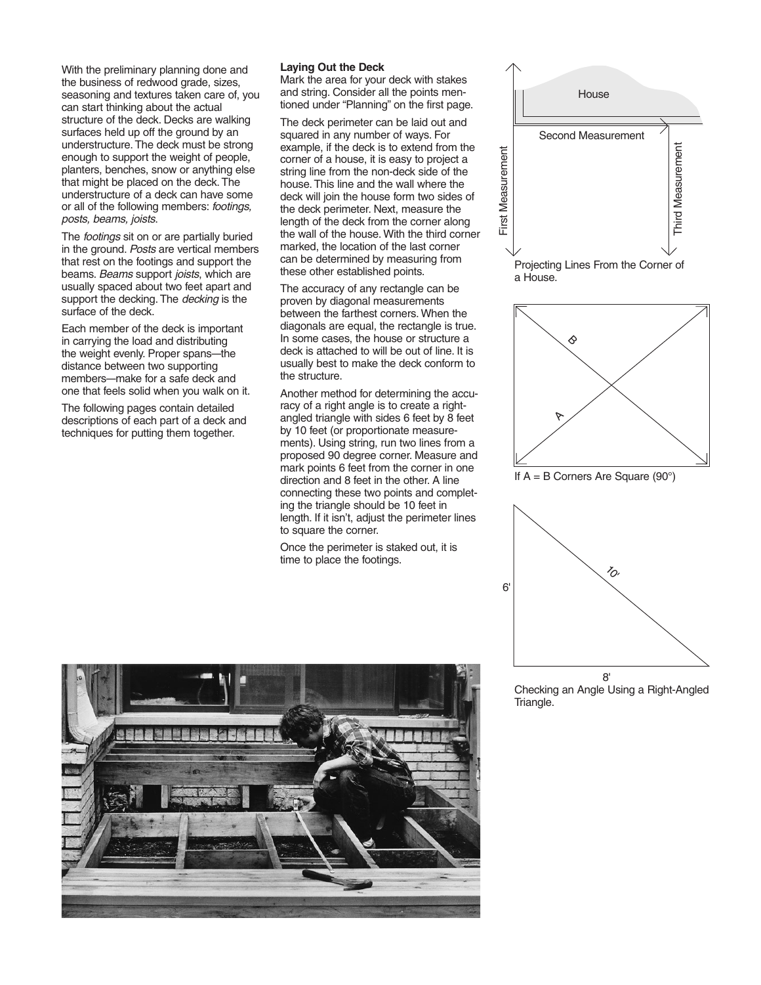With the preliminary planning done and the business of redwood grade, sizes, seasoning and textures taken care of, you can start thinking about the actual structure of the deck. Decks are walking surfaces held up off the ground by an understructure. The deck must be strong enough to support the weight of people, planters, benches, snow or anything else that might be placed on the deck. The understructure of a deck can have some or all of the following members: *footings, posts, beams, joists*.

The *footings* sit on or are partially buried in the ground. *Posts* are vertical members that rest on the footings and support the beams. *Beams* support *joists*, which are usually spaced about two feet apart and support the decking. The *decking* is the surface of the deck.

Each member of the deck is important in carrying the load and distributing the weight evenly. Proper spans—the distance between two supporting members—make for a safe deck and one that feels solid when you walk on it.

The following pages contain detailed descriptions of each part of a deck and techniques for putting them together.

### **Laying Out the Deck**

Mark the area for your deck with stakes and string. Consider all the points mentioned under "Planning" on the first page.

The deck perimeter can be laid out and squared in any number of ways. For example, if the deck is to extend from the corner of a house, it is easy to project a string line from the non-deck side of the house. This line and the wall where the deck will join the house form two sides of the deck perimeter. Next, measure the length of the deck from the corner along the wall of the house. With the third corner marked, the location of the last corner can be determined by measuring from these other established points.

The accuracy of any rectangle can be proven by diagonal measurements between the farthest corners. When the diagonals are equal, the rectangle is true. In some cases, the house or structure a deck is attached to will be out of line. It is usually best to make the deck conform to the structure.

Another method for determining the accuracy of a right angle is to create a rightangled triangle with sides 6 feet by 8 feet by 10 feet (or proportionate measurements). Using string, run two lines from a proposed 90 degree corner. Measure and mark points 6 feet from the corner in one direction and 8 feet in the other. A line connecting these two points and completing the triangle should be 10 feet in length. If it isn't, adjust the perimeter lines to square the corner.

Once the perimeter is staked out, it is time to place the footings.





If  $A = B$  Corners Are Square (90 $^{\circ}$ )



Checking an Angle Using a Right-Angled Triangle.

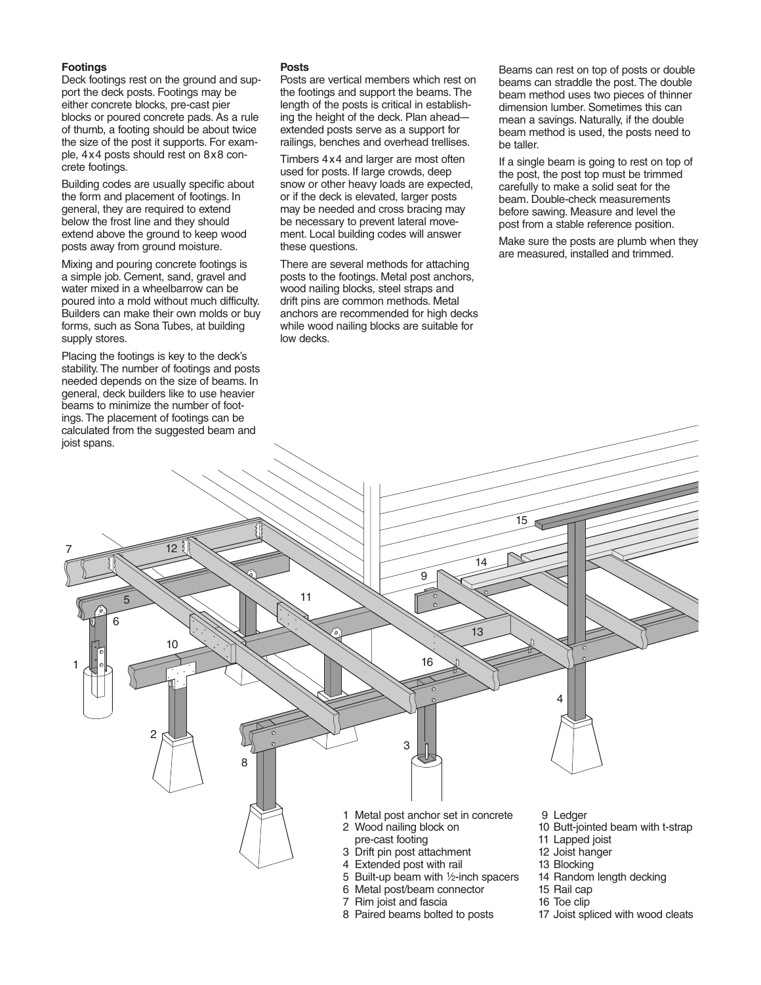# **Footings**

Deck footings rest on the ground and support the deck posts. Footings may be either concrete blocks, pre-cast pier blocks or poured concrete pads. As a rule of thumb, a footing should be about twice the size of the post it supports. For example, 4x4 posts should rest on 8x8 concrete footings.

Building codes are usually specific about the form and placement of footings. In general, they are required to extend below the frost line and they should extend above the ground to keep wood posts away from ground moisture.

Mixing and pouring concrete footings is a simple job. Cement, sand, gravel and water mixed in a wheelbarrow can be poured into a mold without much difficulty. Builders can make their own molds or buy forms, such as Sona Tubes, at building supply stores.

Placing the footings is key to the deck's stability. The number of footings and posts needed depends on the size of beams. In general, deck builders like to use heavier beams to minimize the number of footings. The placement of footings can be calculated from the suggested beam and joist spans.

# **Posts**

Posts are vertical members which rest on the footings and support the beams. The length of the posts is critical in establishing the height of the deck. Plan ahead extended posts serve as a support for railings, benches and overhead trellises.

Timbers 4x4 and larger are most often used for posts. If large crowds, deep snow or other heavy loads are expected, or if the deck is elevated, larger posts may be needed and cross bracing may be necessary to prevent lateral movement. Local building codes will answer these questions.

There are several methods for attaching posts to the footings. Metal post anchors, wood nailing blocks, steel straps and drift pins are common methods. Metal anchors are recommended for high decks while wood nailing blocks are suitable for low decks.

Beams can rest on top of posts or double beams can straddle the post. The double beam method uses two pieces of thinner dimension lumber. Sometimes this can mean a savings. Naturally, if the double beam method is used, the posts need to be taller.

If a single beam is going to rest on top of the post, the post top must be trimmed carefully to make a solid seat for the beam. Double-check measurements before sawing. Measure and level the post from a stable reference position.

Make sure the posts are plumb when they are measured, installed and trimmed.

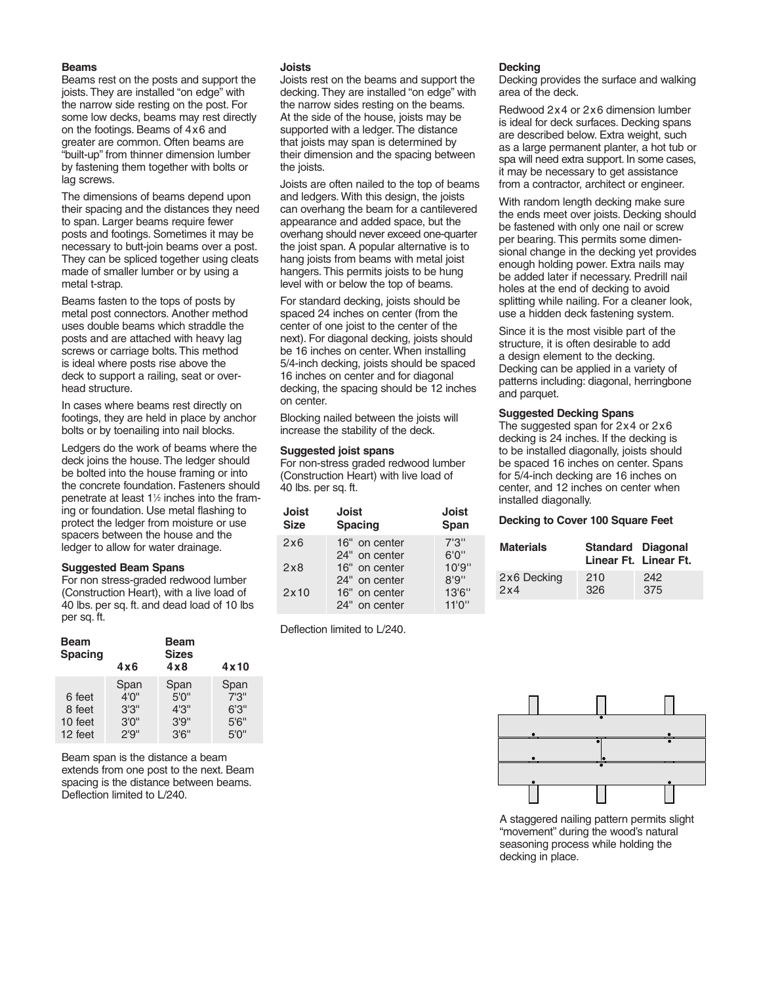#### **Beams**

Beams rest on the posts and support the joists. They are installed "on edge" with the narrow side resting on the post. For some low decks, beams may rest directly on the footings. Beams of 4x6 and greater are common. Often beams are "built-up" from thinner dimension lumber by fastening them together with bolts or lag screws.

The dimensions of beams depend upon their spacing and the distances they need to span. Larger beams require fewer posts and footings. Sometimes it may be necessary to butt-join beams over a post. They can be spliced together using cleats made of smaller lumber or by using a metal t-strap.

Beams fasten to the tops of posts by metal post connectors. Another method uses double beams which straddle the posts and are attached with heavy lag screws or carriage bolts. This method is ideal where posts rise above the deck to support a railing, seat or overhead structure.

In cases where beams rest directly on footings, they are held in place by anchor bolts or by toenailing into nail blocks.

Ledgers do the work of beams where the deck joins the house. The ledger should be bolted into the house framing or into the concrete foundation. Fasteners should penetrate at least 11 ⁄2 inches into the framing or foundation. Use metal flashing to protect the ledger from moisture or use spacers between the house and the ledger to allow for water drainage.

### **Suggested Beam Spans**

For non stress-graded redwood lumber (Construction Heart), with a live load of 40 lbs. per sq. ft. and dead load of 10 lbs per sq. ft.

| <b>Beam</b><br><b>Spacing</b>          | 4x6                                      | 4x10                                     |                                          |  |
|----------------------------------------|------------------------------------------|------------------------------------------|------------------------------------------|--|
| 6 feet<br>8 feet<br>10 feet<br>12 feet | Span<br>4'0''<br>3'3''<br>3'0''<br>2'9'' | Span<br>5'0''<br>4'3''<br>3'9''<br>3'6'' | Span<br>7'3''<br>6'3''<br>5'6''<br>5'0'' |  |

Beam span is the distance a beam extends from one post to the next. Beam spacing is the distance between beams. Deflection limited to L/240.

#### **Joists**

Joists rest on the beams and support the decking. They are installed "on edge" with the narrow sides resting on the beams. At the side of the house, joists may be supported with a ledger. The distance that joists may span is determined by their dimension and the spacing between the joists.

Joists are often nailed to the top of beams and ledgers. With this design, the joists can overhang the beam for a cantilevered appearance and added space, but the overhang should never exceed one-quarter the joist span. A popular alternative is to hang joists from beams with metal joist hangers. This permits joists to be hung level with or below the top of beams.

For standard decking, joists should be spaced 24 inches on center (from the center of one joist to the center of the next). For diagonal decking, joists should be 16 inches on center. When installing 5/4-inch decking, joists should be spaced 16 inches on center and for diagonal decking, the spacing should be 12 inches on center.

Blocking nailed between the joists will increase the stability of the deck.

# **Suggested joist spans**

For non-stress graded redwood lumber (Construction Heart) with live load of 40 lbs. per sq. ft.

| Joist<br><b>Size</b> | Joist<br><b>Spacing</b> | Joist<br>Span |
|----------------------|-------------------------|---------------|
| 2x6                  | 16" on center           | 7'3''         |
|                      | 24" on center           | 6'0''         |
| 2x8                  | 16" on center           | 10'9''        |
|                      | 24" on center           | 8'9''         |
| 2x10                 | 16" on center           | 13'6''        |
|                      | 24" on center           | 11'0''        |

Deflection limited to L/240.

#### **Decking**

Decking provides the surface and walking area of the deck.

Redwood 2x4 or 2x6 dimension lumber is ideal for deck surfaces. Decking spans are described below. Extra weight, such as a large permanent planter, a hot tub or spa will need extra support. In some cases, it may be necessary to get assistance from a contractor, architect or engineer.

With random length decking make sure the ends meet over joists. Decking should be fastened with only one nail or screw per bearing. This permits some dimensional change in the decking yet provides enough holding power. Extra nails may be added later if necessary. Predrill nail holes at the end of decking to avoid splitting while nailing. For a cleaner look, use a hidden deck fastening system.

Since it is the most visible part of the structure, it is often desirable to add a design element to the decking. Decking can be applied in a variety of patterns including: diagonal, herringbone and parquet.

#### **Suggested Decking Spans**

The suggested span for 2x4 or 2x6 decking is 24 inches. If the decking is to be installed diagonally, joists should be spaced 16 inches on center. Spans for 5/4-inch decking are 16 inches on center, and 12 inches on center when installed diagonally.

#### **Decking to Cover 100 Square Feet**

| <b>Materials</b> | <b>Standard Diagonal</b> | Linear Ft. Linear Ft. |
|------------------|--------------------------|-----------------------|
| 2x6 Decking      | 210                      | 242                   |
| 2x4              | 326                      | 375                   |



A staggered nailing pattern permits slight "movement" during the wood's natural seasoning process while holding the decking in place.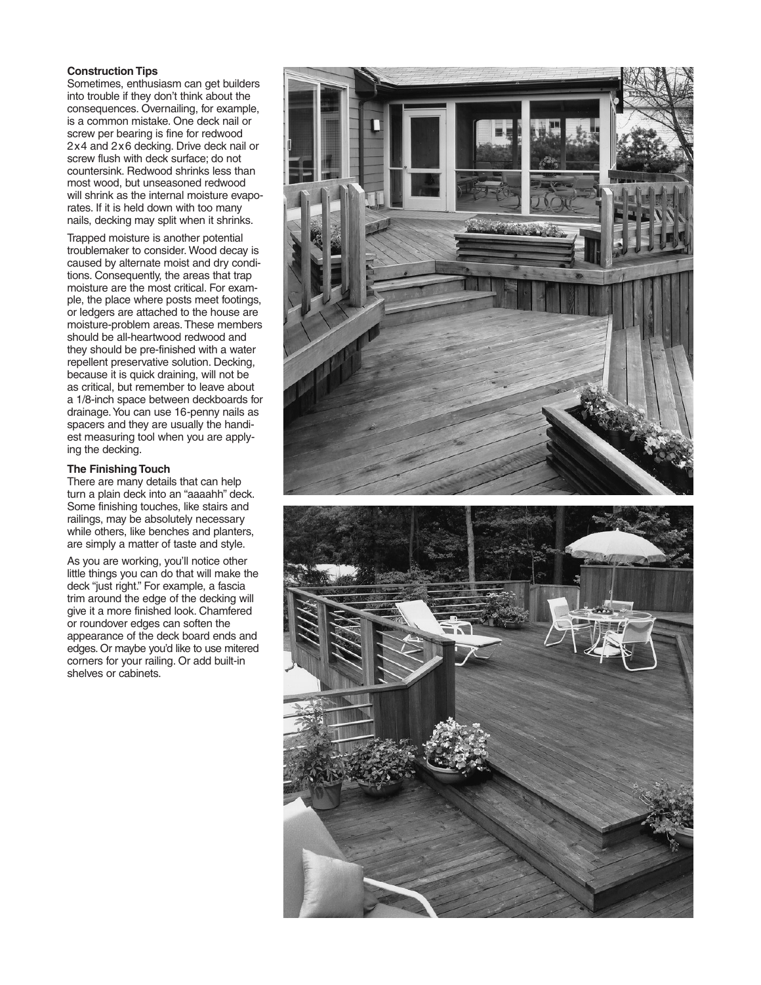#### **Construction Tips**

Sometimes, enthusiasm can get builders into trouble if they don't think about the consequences. Overnailing, for example, is a common mistake. One deck nail or screw per bearing is fine for redwood 2x4 and 2x6 decking. Drive deck nail or screw flush with deck surface; do not countersink. Redwood shrinks less than most wood, but unseasoned redwood will shrink as the internal moisture evaporates. If it is held down with too many nails, decking may split when it shrinks.

Trapped moisture is another potential troublemaker to consider. Wood decay is caused by alternate moist and dry conditions. Consequently, the areas that trap moisture are the most critical. For example, the place where posts meet footings, or ledgers are attached to the house are moisture-problem areas. These members should be all-heartwood redwood and they should be pre-finished with a water repellent preservative solution. Decking, because it is quick draining, will not be as critical, but remember to leave about a 1/8-inch space between deckboards for drainage.You can use 16-penny nails as spacers and they are usually the handiest measuring tool when you are applying the decking.

# **The Finishing Touch**

There are many details that can help turn a plain deck into an "aaaahh" deck. Some finishing touches, like stairs and railings, may be absolutely necessary while others, like benches and planters, are simply a matter of taste and style.

As you are working, you'll notice other little things you can do that will make the deck "just right." For example, a fascia trim around the edge of the decking will give it a more finished look. Chamfered or roundover edges can soften the appearance of the deck board ends and edges. Or maybe you'd like to use mitered corners for your railing. Or add built-in shelves or cabinets.

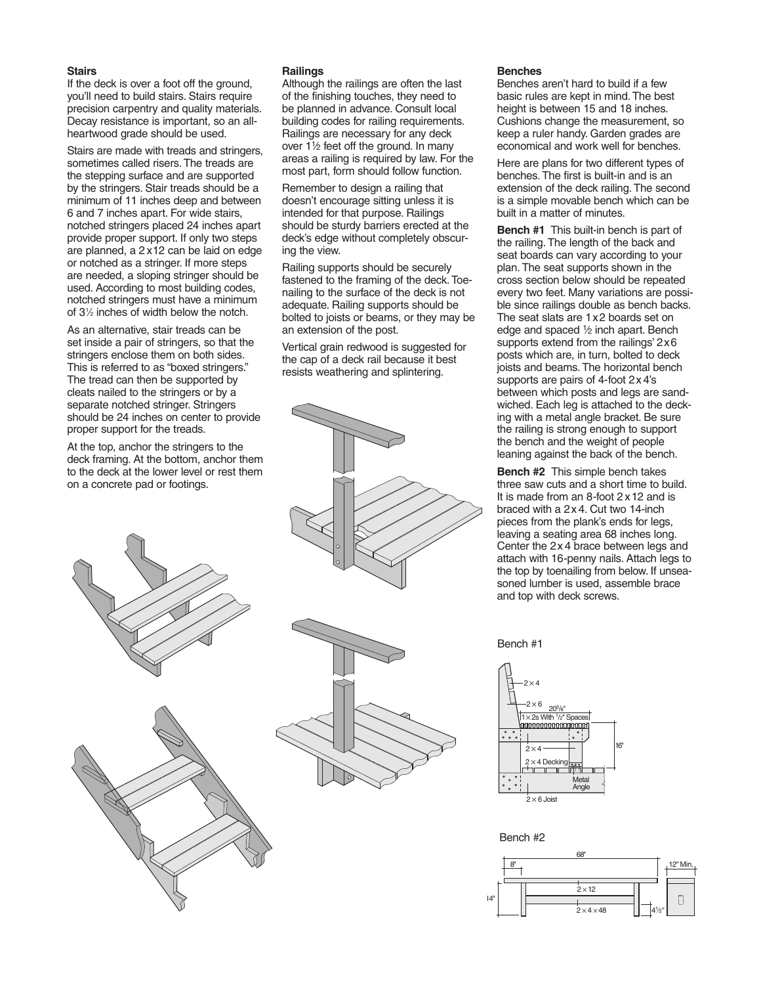#### **Stairs**

If the deck is over a foot off the ground, you'll need to build stairs. Stairs require precision carpentry and quality materials. Decay resistance is important, so an allheartwood grade should be used.

Stairs are made with treads and stringers, sometimes called risers. The treads are the stepping surface and are supported by the stringers. Stair treads should be a minimum of 11 inches deep and between 6 and 7 inches apart. For wide stairs, notched stringers placed 24 inches apart provide proper support. If only two steps are planned, a 2 x12 can be laid on edge or notched as a stringer. If more steps are needed, a sloping stringer should be used. According to most building codes, notched stringers must have a minimum of 31 ⁄2 inches of width below the notch.

As an alternative, stair treads can be set inside a pair of stringers, so that the stringers enclose them on both sides. This is referred to as "boxed stringers." The tread can then be supported by cleats nailed to the stringers or by a separate notched stringer. Stringers should be 24 inches on center to provide proper support for the treads.

At the top, anchor the stringers to the deck framing. At the bottom, anchor them to the deck at the lower level or rest them on a concrete pad or footings.





#### **Railings**

Although the railings are often the last of the finishing touches, they need to be planned in advance. Consult local building codes for railing requirements. Railings are necessary for any deck over  $1\frac{1}{2}$  feet off the ground. In many areas a railing is required by law. For the most part, form should follow function.

Remember to design a railing that doesn't encourage sitting unless it is intended for that purpose. Railings should be sturdy barriers erected at the deck's edge without completely obscuring the view.

Railing supports should be securely fastened to the framing of the deck. Toenailing to the surface of the deck is not adequate. Railing supports should be bolted to joists or beams, or they may be an extension of the post.

Vertical grain redwood is suggested for the cap of a deck rail because it best resists weathering and splintering.

#### **Benches**

Benches aren't hard to build if a few basic rules are kept in mind. The best height is between 15 and 18 inches. Cushions change the measurement, so keep a ruler handy. Garden grades are economical and work well for benches.

Here are plans for two different types of benches. The first is built-in and is an extension of the deck railing. The second is a simple movable bench which can be built in a matter of minutes.

**Bench #1** This built-in bench is part of the railing. The length of the back and seat boards can vary according to your plan. The seat supports shown in the cross section below should be repeated every two feet. Many variations are possible since railings double as bench backs. The seat slats are 1x2 boards set on edge and spaced 1⁄2 inch apart. Bench supports extend from the railings' 2x6 posts which are, in turn, bolted to deck joists and beams. The horizontal bench supports are pairs of 4-foot 2x 4's between which posts and legs are sandwiched. Each leg is attached to the decking with a metal angle bracket. Be sure the railing is strong enough to support the bench and the weight of people leaning against the back of the bench.

**Bench #2** This simple bench takes three saw cuts and a short time to build. It is made from an 8-foot 2 x12 and is braced with a 2x 4. Cut two 14-inch pieces from the plank's ends for legs, leaving a seating area 68 inches long. Center the 2x 4 brace between legs and attach with 16-penny nails. Attach legs to the top by toenailing from below. If unseasoned lumber is used, assemble brace and top with deck screws.

Bench #1



Bench #2